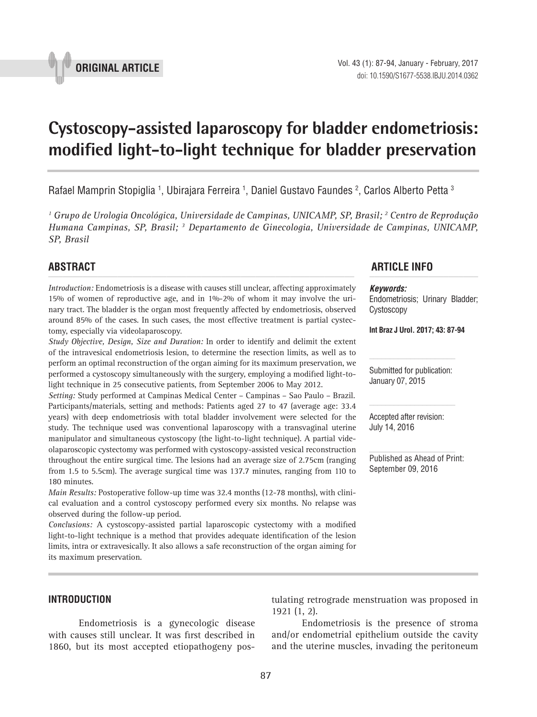

# **Cystoscopy-assisted laparoscopy for bladder endometriosis: modified light-to-light technique for bladder preservation \_\_\_\_\_\_\_\_\_\_\_\_\_\_\_\_\_\_\_\_\_\_\_\_\_\_\_\_\_\_\_\_\_\_\_\_\_\_\_\_\_\_\_\_\_\_\_**

Rafael Mamprin Stopiglia <sup>1</sup>, Ubirajara Ferreira <sup>1</sup>, Daniel Gustavo Faundes <sup>2</sup>, Carlos Alberto Petta <sup>3</sup>

*1 Grupo de Urologia Oncológica, Universidade de Campinas, UNICAMP, SP, Brasil; 2 Centro de Reprodução Humana Campinas, SP, Brasil; 3 Departamento de Ginecologia, Universidade de Campinas, UNICAMP, SP, Brasil*

*Introduction:* Endometriosis is a disease with causes still unclear, affecting approximately 15% of women of reproductive age, and in 1%-2% of whom it may involve the urinary tract. The bladder is the organ most frequently affected by endometriosis, observed around 85% of the cases. In such cases, the most effective treatment is partial cystectomy, especially via videolaparoscopy.

*Study Objective, Design, Size and Duration:* In order to identify and delimit the extent of the intravesical endometriosis lesion, to determine the resection limits, as well as to perform an optimal reconstruction of the organ aiming for its maximum preservation, we performed a cystoscopy simultaneously with the surgery, employing a modified light-tolight technique in 25 consecutive patients, from September 2006 to May 2012.

*Setting:* Study performed at Campinas Medical Center – Campinas – Sao Paulo – Brazil. Participants/materials, setting and methods: Patients aged 27 to 47 (average age: 33.4 years) with deep endometriosis with total bladder involvement were selected for the study. The technique used was conventional laparoscopy with a transvaginal uterine manipulator and simultaneous cystoscopy (the light-to-light technique). A partial videolaparoscopic cystectomy was performed with cystoscopy-assisted vesical reconstruction throughout the entire surgical time. The lesions had an average size of 2.75cm (ranging from 1.5 to 5.5cm). The average surgical time was 137.7 minutes, ranging from 110 to 180 minutes.

*Main Results:* Postoperative follow-up time was 32.4 months (12-78 months), with clinical evaluation and a control cystoscopy performed every six months. No relapse was observed during the follow-up period.

*Conclusions:* A cystoscopy-assisted partial laparoscopic cystectomy with a modified light-to-light technique is a method that provides adequate identification of the lesion limits, intra or extravesically. It also allows a safe reconstruction of the organ aiming for its maximum preservation.

# **ABSTRACT ARTICLE INFO** *\_\_\_\_\_\_\_\_\_\_\_\_\_\_\_\_\_\_\_\_\_\_\_\_\_\_\_\_\_\_\_\_\_\_\_\_\_\_\_\_\_\_\_\_\_\_\_\_\_\_\_\_\_\_\_\_\_\_\_\_\_\_ \_\_\_\_\_\_\_\_\_\_\_\_\_\_\_\_\_\_\_\_\_\_*

#### *Keywords:*

Endometriosis; Urinary Bladder; Cystoscopy

**Int Braz J Urol. 2017; 43: 87-94**

Submitted for publication: January 07, 2015

Accepted after revision: July 14, 2016

Published as Ahead of Print: September 09, 2016

#### **INTRODUCTION**

Endometriosis is a gynecologic disease with causes still unclear. It was first described in 1860, but its most accepted etiopathogeny postulating retrograde menstruation was proposed in 1921 (1, 2).

Endometriosis is the presence of stroma and/or endometrial epithelium outside the cavity and the uterine muscles, invading the peritoneum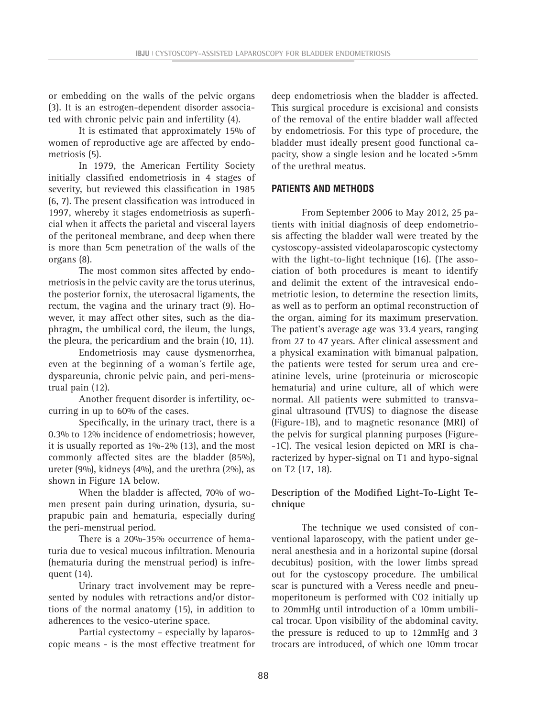or embedding on the walls of the pelvic organs (3). It is an estrogen-dependent disorder associated with chronic pelvic pain and infertility (4).

It is estimated that approximately 15% of women of reproductive age are affected by endometriosis (5).

In 1979, the American Fertility Society initially classified endometriosis in 4 stages of severity, but reviewed this classification in 1985 (6, 7). The present classification was introduced in 1997, whereby it stages endometriosis as superficial when it affects the parietal and visceral layers of the peritoneal membrane, and deep when there is more than 5cm penetration of the walls of the organs (8).

The most common sites affected by endometriosis in the pelvic cavity are the torus uterinus, the posterior fornix, the uterosacral ligaments, the rectum, the vagina and the urinary tract (9). However, it may affect other sites, such as the diaphragm, the umbilical cord, the ileum, the lungs, the pleura, the pericardium and the brain (10, 11).

Endometriosis may cause dysmenorrhea, even at the beginning of a woman´s fertile age, dyspareunia, chronic pelvic pain, and peri-menstrual pain (12).

Another frequent disorder is infertility, occurring in up to 60% of the cases.

Specifically, in the urinary tract, there is a 0.3% to 12% incidence of endometriosis; however, it is usually reported as  $1\% - 2\%$  (13), and the most commonly affected sites are the bladder (85%), ureter (9%), kidneys (4%), and the urethra (2%), as shown in Figure 1A below.

When the bladder is affected, 70% of women present pain during urination, dysuria, suprapubic pain and hematuria, especially during the peri-menstrual period.

There is a 20%-35% occurrence of hematuria due to vesical mucous infiltration. Menouria (hematuria during the menstrual period) is infrequent (14).

Urinary tract involvement may be represented by nodules with retractions and/or distortions of the normal anatomy (15), in addition to adherences to the vesico-uterine space.

Partial cystectomy – especially by laparoscopic means - is the most effective treatment for

deep endometriosis when the bladder is affected. This surgical procedure is excisional and consists of the removal of the entire bladder wall affected by endometriosis. For this type of procedure, the bladder must ideally present good functional capacity, show a single lesion and be located >5mm of the urethral meatus.

## **PATIENTS AND METHODS**

From September 2006 to May 2012, 25 patients with initial diagnosis of deep endometriosis affecting the bladder wall were treated by the cystoscopy-assisted videolaparoscopic cystectomy with the light-to-light technique (16). (The association of both procedures is meant to identify and delimit the extent of the intravesical endometriotic lesion, to determine the resection limits, as well as to perform an optimal reconstruction of the organ, aiming for its maximum preservation. The patient's average age was 33.4 years, ranging from 27 to 47 years. After clinical assessment and a physical examination with bimanual palpation, the patients were tested for serum urea and creatinine levels, urine (proteinuria or microscopic hematuria) and urine culture, all of which were normal. All patients were submitted to transvaginal ultrasound (TVUS) to diagnose the disease (Figure-1B), and to magnetic resonance (MRI) of the pelvis for surgical planning purposes (Figure- -1C). The vesical lesion depicted on MRI is characterized by hyper-signal on T1 and hypo-signal on T2 (17, 18).

## **Description of the Modified Light-To-Light Technique**

The technique we used consisted of conventional laparoscopy, with the patient under general anesthesia and in a horizontal supine (dorsal decubitus) position, with the lower limbs spread out for the cystoscopy procedure. The umbilical scar is punctured with a Veress needle and pneumoperitoneum is performed with CO2 initially up to 20mmHg until introduction of a 10mm umbilical trocar. Upon visibility of the abdominal cavity, the pressure is reduced to up to 12mmHg and 3 trocars are introduced, of which one 10mm trocar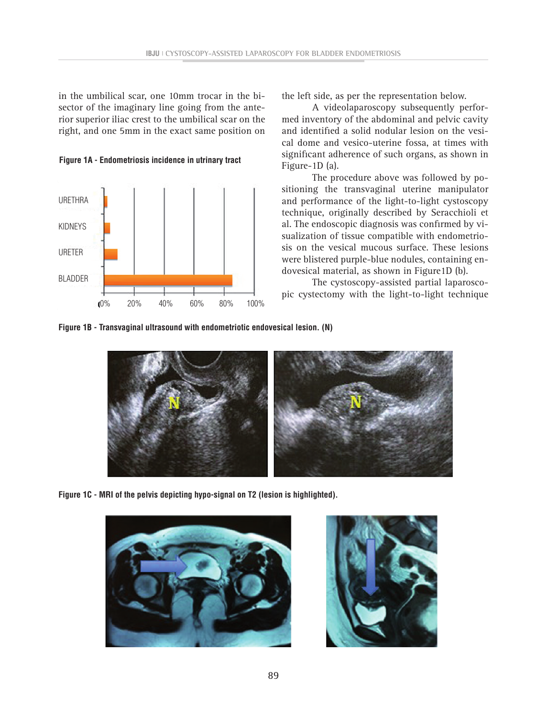in the umbilical scar, one 10mm trocar in the bisector of the imaginary line going from the anterior superior iliac crest to the umbilical scar on the right, and one 5mm in the exact same position on





the left side, as per the representation below.

A videolaparoscopy subsequently performed inventory of the abdominal and pelvic cavity and identified a solid nodular lesion on the vesical dome and vesico-uterine fossa, at times with significant adherence of such organs, as shown in Figure-1D (a).

The procedure above was followed by positioning the transvaginal uterine manipulator and performance of the light-to-light cystoscopy technique, originally described by Seracchioli et al. The endoscopic diagnosis was confirmed by visualization of tissue compatible with endometriosis on the vesical mucous surface. These lesions were blistered purple-blue nodules, containing endovesical material, as shown in Figure1D (b).

The cystoscopy-assisted partial laparoscopic cystectomy with the light-to-light technique

**Figure 1B - Transvaginal ultrasound with endometriotic endovesical lesion. (N)**



**Figure 1C - MRI of the pelvis depicting hypo-signal on T2 (lesion is highlighted).**



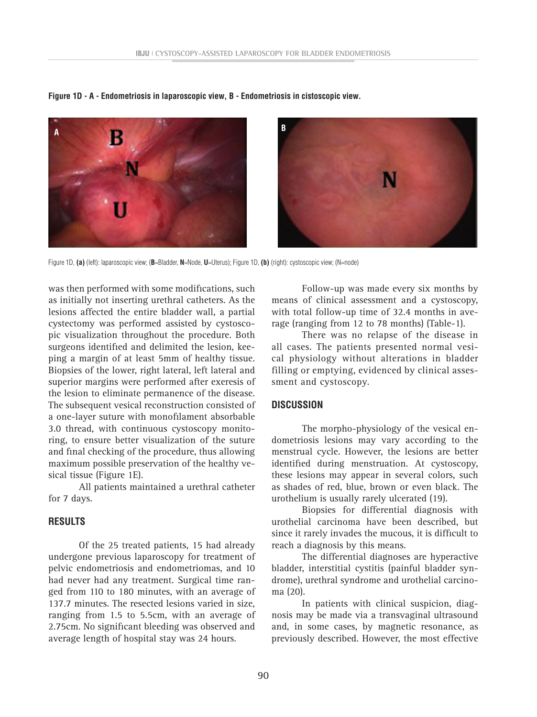

**Figure 1D - A - Endometriosis in laparoscopic view, B - Endometriosis in cistoscopic view.**

Figure 1D, **(a)** (left): laparoscopic view; (**B**=Bladder, **N**=Node, **U**=Uterus); Figure 1D, **(b)** (right): cystoscopic view; (N=node)

was then performed with some modifications, such as initially not inserting urethral catheters. As the lesions affected the entire bladder wall, a partial cystectomy was performed assisted by cystoscopic visualization throughout the procedure. Both surgeons identified and delimited the lesion, keeping a margin of at least 5mm of healthy tissue. Biopsies of the lower, right lateral, left lateral and superior margins were performed after exeresis of the lesion to eliminate permanence of the disease. The subsequent vesical reconstruction consisted of a one-layer suture with monofilament absorbable 3.0 thread, with continuous cystoscopy monitoring, to ensure better visualization of the suture and final checking of the procedure, thus allowing maximum possible preservation of the healthy vesical tissue (Figure 1E).

All patients maintained a urethral catheter for 7 days.

#### **RESULTS**

Of the 25 treated patients, 15 had already undergone previous laparoscopy for treatment of pelvic endometriosis and endometriomas, and 10 had never had any treatment. Surgical time ranged from 110 to 180 minutes, with an average of 137.7 minutes. The resected lesions varied in size, ranging from 1.5 to 5.5cm, with an average of 2.75cm. No significant bleeding was observed and average length of hospital stay was 24 hours.

Follow-up was made every six months by means of clinical assessment and a cystoscopy, with total follow-up time of 32.4 months in average (ranging from 12 to 78 months) (Table-1).

There was no relapse of the disease in all cases. The patients presented normal vesical physiology without alterations in bladder filling or emptying, evidenced by clinical assessment and cystoscopy.

#### **DISCUSSION**

The morpho-physiology of the vesical endometriosis lesions may vary according to the menstrual cycle. However, the lesions are better identified during menstruation. At cystoscopy, these lesions may appear in several colors, such as shades of red, blue, brown or even black. The urothelium is usually rarely ulcerated (19).

Biopsies for differential diagnosis with urothelial carcinoma have been described, but since it rarely invades the mucous, it is difficult to reach a diagnosis by this means.

The differential diagnoses are hyperactive bladder, interstitial cystitis (painful bladder syndrome), urethral syndrome and urothelial carcinoma (20).

In patients with clinical suspicion, diagnosis may be made via a transvaginal ultrasound and, in some cases, by magnetic resonance, as previously described. However, the most effective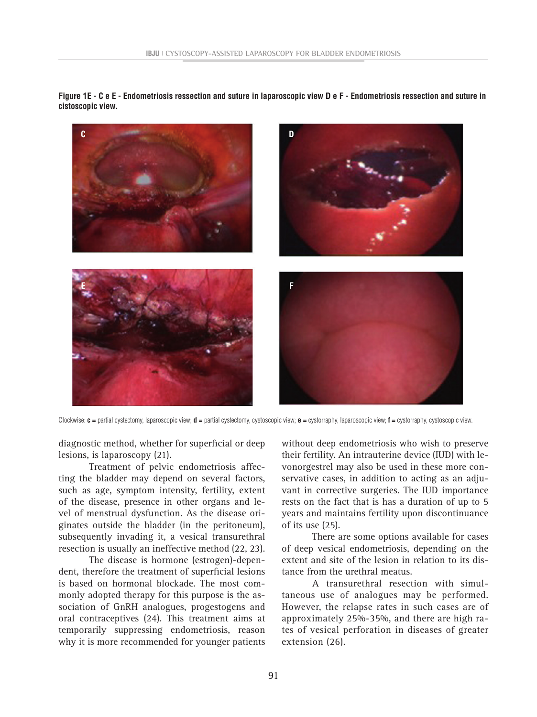**Figure 1E - C e E - Endometriosis ressection and suture in laparoscopic view D e F - Endometriosis ressection and suture in cistoscopic view.**



Clockwise: **c =** partial cystectomy, laparoscopic view; **d =** partial cystectomy, cystoscopic view; **e =** cystorraphy, laparoscopic view; **f =** cystorraphy, cystoscopic view.

diagnostic method, whether for superficial or deep lesions, is laparoscopy (21).

Treatment of pelvic endometriosis affecting the bladder may depend on several factors, such as age, symptom intensity, fertility, extent of the disease, presence in other organs and level of menstrual dysfunction. As the disease originates outside the bladder (in the peritoneum), subsequently invading it, a vesical transurethral resection is usually an ineffective method (22, 23).

The disease is hormone (estrogen)-dependent, therefore the treatment of superficial lesions is based on hormonal blockade. The most commonly adopted therapy for this purpose is the association of GnRH analogues, progestogens and oral contraceptives (24). This treatment aims at temporarily suppressing endometriosis, reason why it is more recommended for younger patients

without deep endometriosis who wish to preserve their fertility. An intrauterine device (IUD) with levonorgestrel may also be used in these more conservative cases, in addition to acting as an adjuvant in corrective surgeries. The IUD importance rests on the fact that is has a duration of up to 5 years and maintains fertility upon discontinuance of its use (25).

There are some options available for cases of deep vesical endometriosis, depending on the extent and site of the lesion in relation to its distance from the urethral meatus.

A transurethral resection with simultaneous use of analogues may be performed. However, the relapse rates in such cases are of approximately 25%-35%, and there are high rates of vesical perforation in diseases of greater extension (26).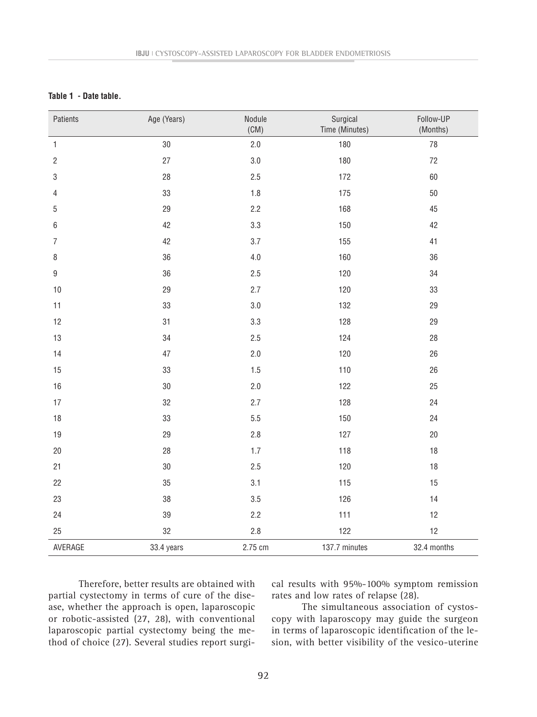| Table 1<br>- Date table. |  |
|--------------------------|--|
|--------------------------|--|

| Patients         | Age (Years) | Nodule<br>(CM) | Surgical<br>Time (Minutes) | Follow-UP<br>(Months) |
|------------------|-------------|----------------|----------------------------|-----------------------|
| $\mathbf{1}$     | $30\,$      | 2.0            | 180                        | 78                    |
| $\sqrt{2}$       | $27\,$      | 3.0            | 180                        | $72\,$                |
| 3                | 28          | 2.5            | 172                        | 60                    |
| $\overline{4}$   | 33          | 1.8            | 175                        | 50                    |
| $\,$ 5 $\,$      | 29          | 2.2            | 168                        | 45                    |
| $\,6\,$          | 42          | 3.3            | 150                        | 42                    |
| $\overline{7}$   | 42          | 3.7            | 155                        | 41                    |
| $\, 8$           | 36          | $4.0\,$        | 160                        | 36                    |
| $\boldsymbol{9}$ | 36          | 2.5            | 120                        | 34                    |
| $10$             | 29          | 2.7            | 120                        | 33                    |
| 11               | 33          | $3.0\,$        | 132                        | 29                    |
| 12               | 31          | 3.3            | 128                        | 29                    |
| 13               | 34          | 2.5            | 124                        | 28                    |
| 14               | 47          | 2.0            | 120                        | 26                    |
| 15               | 33          | 1.5            | $110$                      | 26                    |
| 16               | $30\,$      | 2.0            | 122                        | 25                    |
| 17               | 32          | 2.7            | 128                        | 24                    |
| 18               | 33          | 5.5            | 150                        | 24                    |
| 19               | 29          | 2.8            | 127                        | 20                    |
| 20               | 28          | 1.7            | 118                        | 18                    |
| 21               | $30\,$      | 2.5            | 120                        | 18                    |
| 22               | 35          | 3.1            | 115                        | 15                    |
| 23               | 38          | 3.5            | 126                        | 14                    |
| 24               | 39          | 2.2            | $111$                      | 12                    |
| 25               | 32          | 2.8            | 122                        | $12$                  |
| AVERAGE          | 33.4 years  | 2.75 cm        | 137.7 minutes              | 32.4 months           |

Therefore, better results are obtained with partial cystectomy in terms of cure of the disease, whether the approach is open, laparoscopic or robotic-assisted (27, 28), with conventional laparoscopic partial cystectomy being the method of choice (27). Several studies report surgical results with 95%-100% symptom remission rates and low rates of relapse (28).

The simultaneous association of cystoscopy with laparoscopy may guide the surgeon in terms of laparoscopic identification of the lesion, with better visibility of the vesico-uterine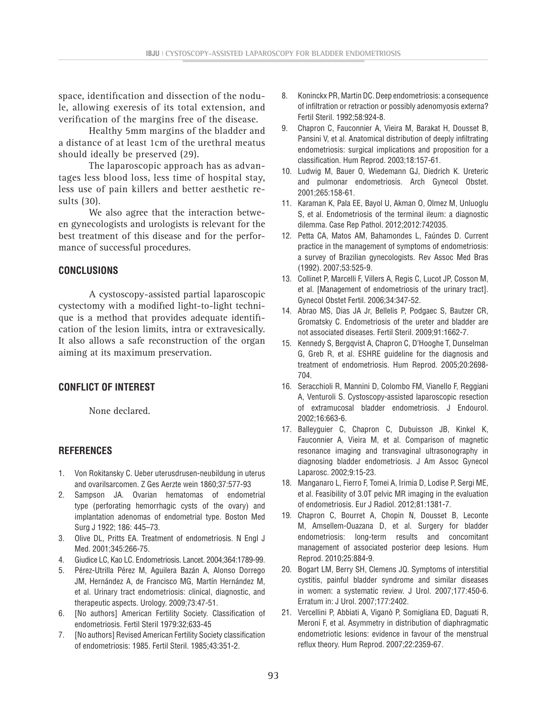space, identification and dissection of the nodule, allowing exeresis of its total extension, and verification of the margins free of the disease.

Healthy 5mm margins of the bladder and a distance of at least 1cm of the urethral meatus should ideally be preserved (29).

The laparoscopic approach has as advantages less blood loss, less time of hospital stay, less use of pain killers and better aesthetic results (30).

We also agree that the interaction between gynecologists and urologists is relevant for the best treatment of this disease and for the performance of successful procedures.

## **CONCLUSIONS**

A cystoscopy-assisted partial laparoscopic cystectomy with a modified light-to-light technique is a method that provides adequate identification of the lesion limits, intra or extravesically. It also allows a safe reconstruction of the organ aiming at its maximum preservation.

## **CONFLICT OF INTEREST**

None declared.

#### **REFERENCES**

- 1. Von Rokitansky C. Ueber uterusdrusen-neubildung in uterus and ovarilsarcomen. Z Ges Aerzte wein 1860;37:577-93
- 2. Sampson JA. Ovarian hematomas of endometrial type (perforating hemorrhagic cysts of the ovary) and implantation adenomas of endometrial type. Boston Med Surg J 1922; 186: 445–73.
- 3. Olive DL, Pritts EA. Treatment of endometriosis. N Engl J Med. 2001;345:266-75.
- 4. Giudice LC, Kao LC. Endometriosis. Lancet. 2004;364:1789-99.
- 5. Pérez-Utrilla Pérez M, Aguilera Bazán A, Alonso Dorrego JM, Hernández A, de Francisco MG, Martín Hernández M, et al. Urinary tract endometriosis: clinical, diagnostic, and therapeutic aspects. Urology. 2009;73:47-51.
- 6. [No authors] American Fertility Society. Classification of endometriosis. Fertil Steril 1979:32;633-45
- 7. [No authors] Revised American Fertility Society classification of endometriosis: 1985. Fertil Steril. 1985;43:351-2.
- 8. Koninckx PR, Martin DC. Deep endometriosis: a consequence of infiltration or retraction or possibly adenomyosis externa? Fertil Steril. 1992;58:924-8.
- 9. Chapron C, Fauconnier A, Vieira M, Barakat H, Dousset B, Pansini V, et al. Anatomical distribution of deeply infiltrating endometriosis: surgical implications and proposition for a classification. Hum Reprod. 2003;18:157-61.
- 10. Ludwig M, Bauer O, Wiedemann GJ, Diedrich K. Ureteric and pulmonar endometriosis. Arch Gynecol Obstet. 2001;265:158-61.
- 11. Karaman K, Pala EE, Bayol U, Akman O, Olmez M, Unluoglu S, et al. Endometriosis of the terminal ileum: a diagnostic dilemma. Case Rep Pathol. 2012;2012:742035.
- 12. Petta CA, Matos AM, Bahamondes L, Faúndes D. Current practice in the management of symptoms of endometriosis: a survey of Brazilian gynecologists. Rev Assoc Med Bras (1992). 2007;53:525-9.
- 13. Collinet P, Marcelli F, Villers A, Regis C, Lucot JP, Cosson M, et al. [Management of endometriosis of the urinary tract]. Gynecol Obstet Fertil. 2006;34:347-52.
- 14. Abrao MS, Dias JA Jr, Bellelis P, Podgaec S, Bautzer CR, Gromatsky C. Endometriosis of the ureter and bladder are not associated diseases. Fertil Steril. 2009;91:1662-7.
- 15. Kennedy S, Bergqvist A, Chapron C, D'Hooghe T, Dunselman G, Greb R, et al. ESHRE guideline for the diagnosis and treatment of endometriosis. Hum Reprod. 2005;20:2698- 704.
- 16. Seracchioli R, Mannini D, Colombo FM, Vianello F, Reggiani A, Venturoli S. Cystoscopy-assisted laparoscopic resection of extramucosal bladder endometriosis. J Endourol. 2002;16:663-6.
- 17. Balleyguier C, Chapron C, Dubuisson JB, Kinkel K, Fauconnier A, Vieira M, et al. Comparison of magnetic resonance imaging and transvaginal ultrasonography in diagnosing bladder endometriosis. J Am Assoc Gynecol Laparosc. 2002;9:15-23.
- 18. Manganaro L, Fierro F, Tomei A, Irimia D, Lodise P, Sergi ME, et al. Feasibility of 3.0T pelvic MR imaging in the evaluation of endometriosis. Eur J Radiol. 2012;81:1381-7.
- 19. Chapron C, Bourret A, Chopin N, Dousset B, Leconte M, Amsellem-Ouazana D, et al. Surgery for bladder endometriosis: long-term results and concomitant management of associated posterior deep lesions. Hum Reprod. 2010;25:884-9.
- 20. Bogart LM, Berry SH, Clemens JQ. Symptoms of interstitial cystitis, painful bladder syndrome and similar diseases in women: a systematic review. J Urol. 2007;177:450-6. Erratum in: J Urol. 2007;177:2402.
- 21. Vercellini P, Abbiati A, Viganò P, Somigliana ED, Daguati R, Meroni F, et al. Asymmetry in distribution of diaphragmatic endometriotic lesions: evidence in favour of the menstrual reflux theory. Hum Reprod. 2007;22:2359-67.